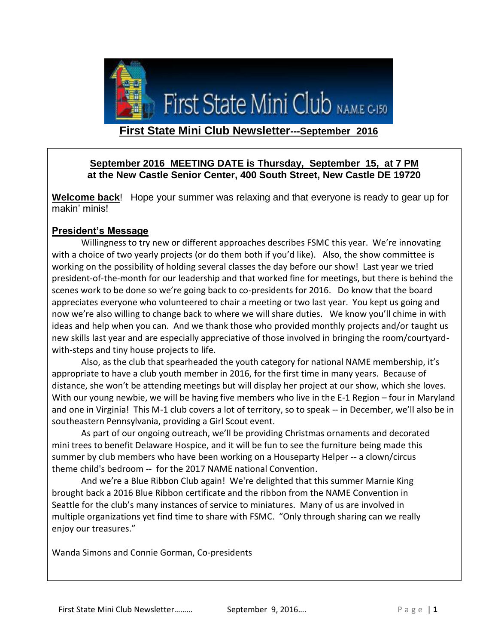

## **September 2016 MEETING DATE is Thursday, September 15, at 7 PM at the New Castle Senior Center, 400 South Street, New Castle DE 19720**

**Welcome back**! Hope your summer was relaxing and that everyone is ready to gear up for makin' minis!

## **President's Message**

Willingness to try new or different approaches describes FSMC this year. We're innovating with a choice of two yearly projects (or do them both if you'd like). Also, the show committee is working on the possibility of holding several classes the day before our show! Last year we tried president-of-the-month for our leadership and that worked fine for meetings, but there is behind the scenes work to be done so we're going back to co-presidents for 2016. Do know that the board appreciates everyone who volunteered to chair a meeting or two last year. You kept us going and now we're also willing to change back to where we will share duties. We know you'll chime in with ideas and help when you can. And we thank those who provided monthly projects and/or taught us new skills last year and are especially appreciative of those involved in bringing the room/courtyardwith-steps and tiny house projects to life.

Also, as the club that spearheaded the youth category for national NAME membership, it's appropriate to have a club youth member in 2016, for the first time in many years. Because of distance, she won't be attending meetings but will display her project at our show, which she loves. With our young newbie, we will be having five members who live in the E-1 Region – four in Maryland and one in Virginia! This M-1 club covers a lot of territory, so to speak -- in December, we'll also be in southeastern Pennsylvania, providing a Girl Scout event.

As part of our ongoing outreach, we'll be providing Christmas ornaments and decorated mini trees to benefit Delaware Hospice, and it will be fun to see the furniture being made this summer by club members who have been working on a Houseparty Helper -- a clown/circus theme child's bedroom -- for the 2017 NAME national Convention.

And we're a Blue Ribbon Club again! We're delighted that this summer Marnie King brought back a 2016 Blue Ribbon certificate and the ribbon from the NAME Convention in Seattle for the club's many instances of service to miniatures. Many of us are involved in multiple organizations yet find time to share with FSMC. "Only through sharing can we really enjoy our treasures."

Wanda Simons and Connie Gorman, Co-presidents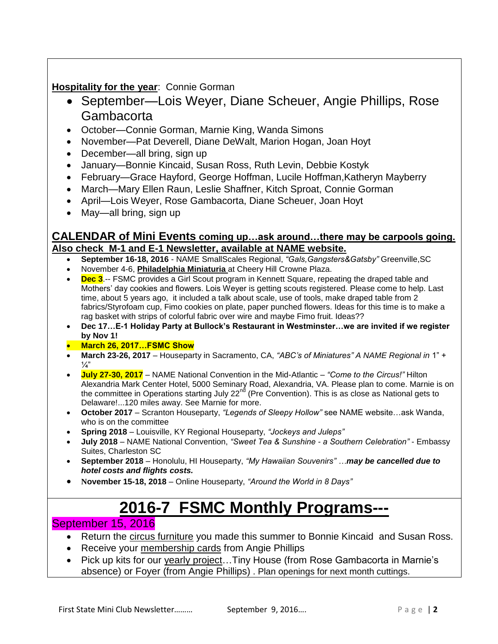## **Hospitality for the year**: Connie Gorman

- September—Lois Weyer, Diane Scheuer, Angie Phillips, Rose Gambacorta
- October—Connie Gorman, Marnie King, Wanda Simons
- November—Pat Deverell, Diane DeWalt, Marion Hogan, Joan Hoyt
- December—all bring, sign up
- January—Bonnie Kincaid, Susan Ross, Ruth Levin, Debbie Kostyk
- February—Grace Hayford, George Hoffman, Lucile Hoffman,Katheryn Mayberry
- March—Mary Ellen Raun, Leslie Shaffner, Kitch Sproat, Connie Gorman
- April—Lois Weyer, Rose Gambacorta, Diane Scheuer, Joan Hoyt
- May—all bring, sign up

### **CALENDAR of Mini Events coming up…ask around…there may be carpools going. Also check M-1 and E-1 Newsletter, available at NAME website.**

- **September 16-18, 2016**  NAME SmallScales Regional, *"Gals,Gangsters&Gatsby"* Greenville,SC
- November 4-6, **Philadelphia Miniaturia** at Cheery Hill Crowne Plaza.
- **Dec 3**.-- FSMC provides a Girl Scout program in Kennett Square, repeating the draped table and Mothers' day cookies and flowers. Lois Weyer is getting scouts registered. Please come to help. Last time, about 5 years ago, it included a talk about scale, use of tools, make draped table from 2 fabrics/Styrofoam cup, Fimo cookies on plate, paper punched flowers. Ideas for this time is to make a rag basket with strips of colorful fabric over wire and maybe Fimo fruit. Ideas??
- **Dec 17…E-1 Holiday Party at Bullock's Restaurant in Westminster…we are invited if we register by Nov 1!**
- **March 26, 2017…FSMC Show**
- **March 23-26, 2017**  Houseparty in Sacramento, CA, *"ABC's of Miniatures" A NAME Regional in* 1" +  $\frac{1}{4}$
- **July 27-30, 2017** NAME National Convention in the Mid-Atlantic *"Come to the Circus!"* Hilton Alexandria Mark Center Hotel, 5000 Seminary Road, Alexandria, VA. Please plan to come. Marnie is on the committee in Operations starting July 22<sup>nd</sup> (Pre Convention). This is as close as National gets to Delaware!...120 miles away. See Marnie for more.
- **October 2017**  Scranton Houseparty, *"Legends of Sleepy Hollow"* see NAME website…ask Wanda, who is on the committee
- **Spring 2018**  Louisville, KY Regional Houseparty, *"Jockeys and Juleps"*
- **July 2018**  NAME National Convention, *"Sweet Tea & Sunshine - a Southern Celebration"*  Embassy Suites, Charleston SC
- **September 2018**  Honolulu, HI Houseparty, *"My Hawaiian Souvenirs" …may be cancelled due to hotel costs and flights costs.*
- **November 15-18, 2018** Online Houseparty, *"Around the World in 8 Days"*

# **2016-7 FSMC Monthly Programs---**

## September 15, 2016

- Return the circus furniture you made this summer to Bonnie Kincaid and Susan Ross.
- Receive your membership cards from Angie Phillips
- Pick up kits for our yearly project...Tiny House (from Rose Gambacorta in Marnie's absence) or Foyer (from Angie Phillips) . Plan openings for next month cuttings.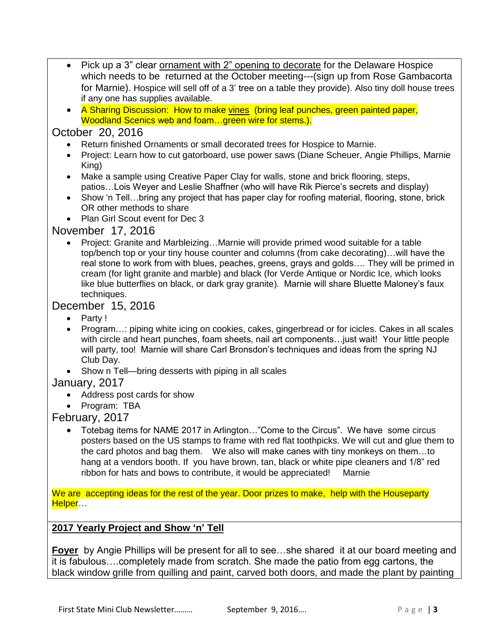- Pick up a 3" clear ornament with 2" opening to decorate for the Delaware Hospice which needs to be returned at the October meeting---(sign up from Rose Gambacorta for Marnie). Hospice will sell off of a 3' tree on a table they provide). Also tiny doll house trees if any one has supplies available.
- A Sharing Discussion: How to make vines (bring leaf punches, green painted paper, Woodland Scenics web and foam…green wire for stems.).

## October 20, 2016

- Return finished Ornaments or small decorated trees for Hospice to Marnie.
- Project: Learn how to cut gatorboard, use power saws (Diane Scheuer, Angie Phillips, Marnie King)
- Make a sample using Creative Paper Clay for walls, stone and brick flooring, steps, patios…Lois Weyer and Leslie Shaffner (who will have Rik Pierce's secrets and display)
- Show 'n Tell...bring any project that has paper clay for roofing material, flooring, stone, brick OR other methods to share
- Plan Girl Scout event for Dec 3

## November 17, 2016

 Project: Granite and Marbleizing…Marnie will provide primed wood suitable for a table top/bench top or your tiny house counter and columns (from cake decorating)…will have the real stone to work from with blues, peaches, greens, grays and golds…. They will be primed in cream (for light granite and marble) and black (for Verde Antique or Nordic Ice, which looks like blue butterflies on black, or dark gray granite). Marnie will share Bluette Maloney's faux techniques.

## December 15, 2016

- Party !
- Program...: piping white icing on cookies, cakes, gingerbread or for icicles. Cakes in all scales with circle and heart punches, foam sheets, nail art components…just wait! Your little people will party, too! Marnie will share Carl Bronsdon's techniques and ideas from the spring NJ Club Day.
- Show n Tell—bring desserts with piping in all scales

## January, 2017

- Address post cards for show
- Program: TBA

## February, 2017

 Totebag items for NAME 2017 in Arlington…"Come to the Circus". We have some circus posters based on the US stamps to frame with red flat toothpicks. We will cut and glue them to the card photos and bag them. We also will make canes with tiny monkeys on them…to hang at a vendors booth. If you have brown, tan, black or white pipe cleaners and 1/8" red ribbon for hats and bows to contribute, it would be appreciated! Marnie

We are accepting ideas for the rest of the year. Door prizes to make, help with the Houseparty Helper…

#### **2017 Yearly Project and Show 'n' Tell**

**Foyer** by Angie Phillips will be present for all to see…she shared it at our board meeting and it is fabulous….completely made from scratch. She made the patio from egg cartons, the black window grille from quilling and paint, carved both doors, and made the plant by painting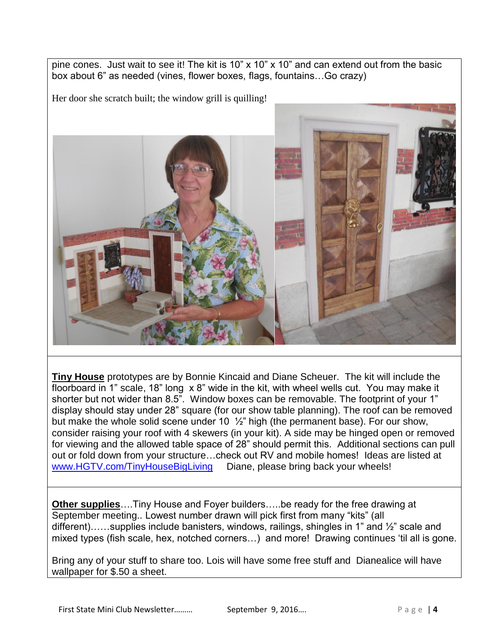pine cones. Just wait to see it! The kit is 10" x 10" x 10" and can extend out from the basic box about 6" as needed (vines, flower boxes, flags, fountains…Go crazy)

Her door she scratch built; the window grill is quilling!



**Tiny House** prototypes are by Bonnie Kincaid and Diane Scheuer. The kit will include the floorboard in 1" scale, 18" long x 8" wide in the kit, with wheel wells cut. You may make it shorter but not wider than 8.5". Window boxes can be removable. The footprint of your 1" display should stay under 28" square (for our show table planning). The roof can be removed but make the whole solid scene under 10  $\frac{1}{2}$ " high (the permanent base). For our show, consider raising your roof with 4 skewers (in your kit). A side may be hinged open or removed for viewing and the allowed table space of 28" should permit this. Additional sections can pull out or fold down from your structure…check out RV and mobile homes! Ideas are listed at [www.HGTV.com/TinyHouseBigLiving](http://www.hgtv.com/TinyHouseBigLiving) Diane, please bring back your wheels!

**Other supplies**….Tiny House and Foyer builders…..be ready for the free drawing at September meeting.. Lowest number drawn will pick first from many "kits" (all different)……supplies include banisters, windows, railings, shingles in 1" and ½" scale and mixed types (fish scale, hex, notched corners…) and more! Drawing continues 'til all is gone.

Bring any of your stuff to share too. Lois will have some free stuff and Dianealice will have wallpaper for \$.50 a sheet.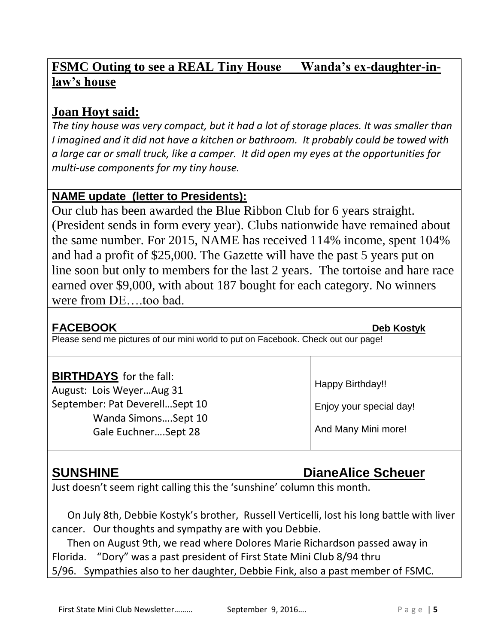## **FSMC Outing to see a REAL Tiny House Wanda's ex-daughter-inlaw's house**

## **Joan Hoyt said:**

*The tiny house was very compact, but it had a lot of storage places. It was smaller than I imagined and it did not have a kitchen or bathroom. It probably could be towed with a large car or small truck, like a camper. It did open my eyes at the opportunities for multi-use components for my tiny house.*

## **NAME update (letter to Presidents):**

Our club has been awarded the Blue Ribbon Club for 6 years straight. (President sends in form every year). Clubs nationwide have remained about the same number. For 2015, NAME has received 114% income, spent 104% and had a profit of \$25,000. The Gazette will have the past 5 years put on line soon but only to members for the last 2 years. The tortoise and hare race earned over \$9,000, with about 187 bought for each category. No winners were from DE….too bad.

## **FACEBOOK Deb Kostyk**

Please send me pictures of our mini world to put on Facebook. Check out our page!

## **BIRTHDAYS** for the fall:

August: Lois Weyer…Aug 31 September: Pat Deverell…Sept 10 Wanda Simons….Sept 10 Gale Euchner….Sept 28

## **SUNSHINE** DianeAlice Scheuer

Enjoy your special day!

And Many Mini more!

Happy Birthday!!

Just doesn't seem right calling this the 'sunshine' column this month.

 On July 8th, Debbie Kostyk's brother, Russell Verticelli, lost his long battle with liver cancer. Our thoughts and sympathy are with you Debbie.

 Then on August 9th, we read where Dolores Marie Richardson passed away in Florida. "Dory" was a past president of First State Mini Club 8/94 thru 5/96. Sympathies also to her daughter, Debbie Fink, also a past member of FSMC.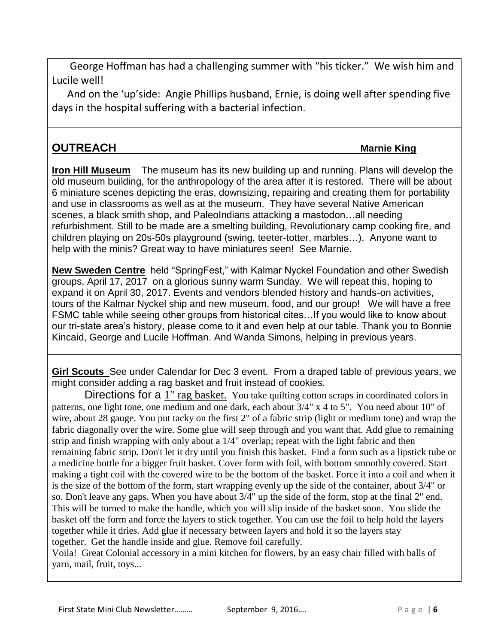George Hoffman has had a challenging summer with "his ticker." We wish him and Lucile well!

 And on the 'up'side: Angie Phillips husband, Ernie, is doing well after spending five days in the hospital suffering with a bacterial infection.

## **OUTREACH Matrice COUTREACH Matrice COUTREACH Matrice Countrie King**

**Iron Hill Museum** The museum has its new building up and running. Plans will develop the old museum building, for the anthropology of the area after it is restored. There will be about 6 miniature scenes depicting the eras, downsizing, repairing and creating them for portability and use in classrooms as well as at the museum. They have several Native American scenes, a black smith shop, and PaleoIndians attacking a mastodon…all needing refurbishment. Still to be made are a smelting building, Revolutionary camp cooking fire, and children playing on 20s-50s playground (swing, teeter-totter, marbles…). Anyone want to help with the minis? Great way to have miniatures seen! See Marnie.

**New Sweden Centre** held "SpringFest," with Kalmar Nyckel Foundation and other Swedish groups, April 17, 2017 on a glorious sunny warm Sunday. We will repeat this, hoping to expand it on April 30, 2017. Events and vendors blended history and hands-on activities, tours of the Kalmar Nyckel ship and new museum, food, and our group! We will have a free FSMC table while seeing other groups from historical cites…If you would like to know about our tri-state area's history, please come to it and even help at our table. Thank you to Bonnie Kincaid, George and Lucile Hoffman. And Wanda Simons, helping in previous years.

**Girl Scouts** See under Calendar for Dec 3 event. From a draped table of previous years, we might consider adding a rag basket and fruit instead of cookies.

Directions for a 1" rag basket. You take quilting cotton scraps in coordinated colors in patterns, one light tone, one medium and one dark, each about 3/4" x 4 to 5". You need about 10" of wire, about 28 gauge. You put tacky on the first 2" of a fabric strip (light or medium tone) and wrap the fabric diagonally over the wire. Some glue will seep through and you want that. Add glue to remaining strip and finish wrapping with only about a 1/4" overlap; repeat with the light fabric and then remaining fabric strip. Don't let it dry until you finish this basket. Find a form such as a lipstick tube or a medicine bottle for a bigger fruit basket. Cover form with foil, with bottom smoothly covered. Start making a tight coil with the covered wire to be the bottom of the basket. Force it into a coil and when it is the size of the bottom of the form, start wrapping evenly up the side of the container, about 3/4" or so. Don't leave any gaps. When you have about 3/4" up the side of the form, stop at the final 2" end. This will be turned to make the handle, which you will slip inside of the basket soon. You slide the basket off the form and force the layers to stick together. You can use the foil to help hold the layers together while it dries. Add glue if necessary between layers and hold it so the layers stay together. Get the handle inside and glue. Remove foil carefully.

Voila! Great Colonial accessory in a mini kitchen for flowers, by an easy chair filled with balls of yarn, mail, fruit, toys...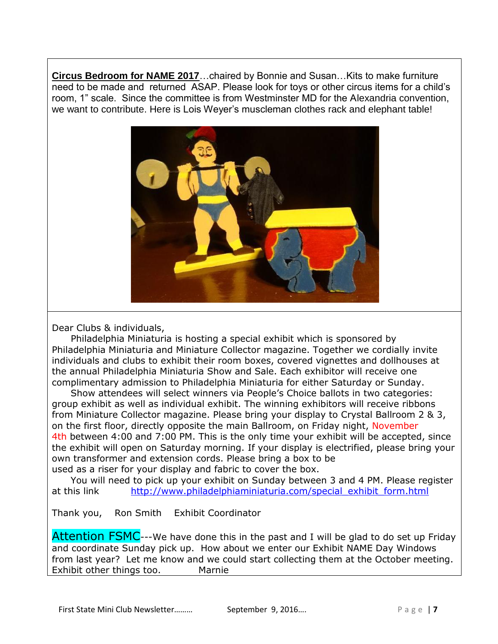**Circus Bedroom for NAME 2017**…chaired by Bonnie and Susan…Kits to make furniture need to be made and returned ASAP. Please look for toys or other circus items for a child's room, 1" scale. Since the committee is from Westminster MD for the Alexandria convention, we want to contribute. Here is Lois Weyer's muscleman clothes rack and elephant table!



Dear Clubs & individuals,

 Philadelphia Miniaturia is hosting a special exhibit which is sponsored by Philadelphia Miniaturia and Miniature Collector magazine. Together we cordially invite individuals and clubs to exhibit their room boxes, covered vignettes and dollhouses at the annual Philadelphia Miniaturia Show and Sale. Each exhibitor will receive one complimentary admission to Philadelphia Miniaturia for either Saturday or Sunday.

 Show attendees will select winners via People's Choice ballots in two categories: group exhibit as well as individual exhibit. The winning exhibitors will receive ribbons from Miniature Collector magazine. Please bring your display to Crystal Ballroom 2 & 3, on the first floor, directly opposite the main Ballroom, on Friday night, November 4th between 4:00 and 7:00 PM. This is the only time your exhibit will be accepted, since the exhibit will open on Saturday morning. If your display is electrified, please bring your own transformer and extension cords. Please bring a box to be used as a riser for your display and fabric to cover the box.

 You will need to pick up your exhibit on Sunday between 3 and 4 PM. Please register at this link [http://www.philadelphiaminiaturia.com/special\\_exhibit\\_form.html](http://www.philadelphiaminiaturia.com/special_exhibit_form.html)

Thank you, Ron Smith Exhibit Coordinator

Attention FSMC---We have done this in the past and I will be glad to do set up Friday and coordinate Sunday pick up. How about we enter our Exhibit NAME Day Windows from last year? Let me know and we could start collecting them at the October meeting. Exhibit other things too. Marnie